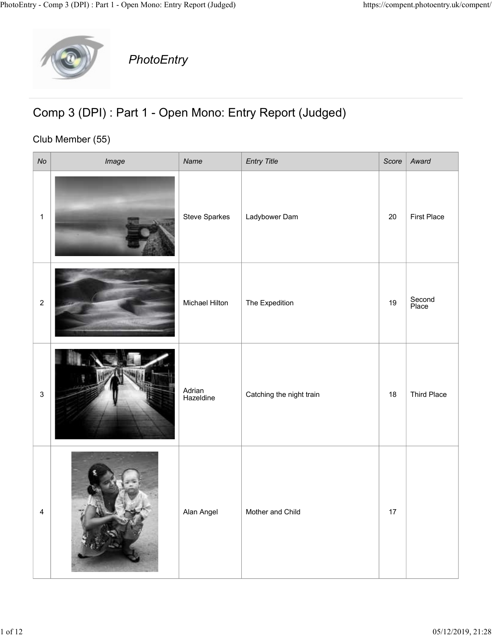

## Comp 3 (DPI) : Part 1 - Open Mono: Entry Report (Judged)

## Club Member (55)

|                | y - Comp 3 (DPI) : Part 1 - Open Mono: Entry Report (Judged)                 |                     |                          |       | https://compent.photoentry.uk/compent/ |
|----------------|------------------------------------------------------------------------------|---------------------|--------------------------|-------|----------------------------------------|
|                | PhotoEntry                                                                   |                     |                          |       |                                        |
|                | Comp 3 (DPI) : Part 1 - Open Mono: Entry Report (Judged)<br>Club Member (55) |                     |                          |       |                                        |
| N <sub>O</sub> | Image                                                                        | Name                | <b>Entry Title</b>       | Score | Award                                  |
| $\overline{1}$ |                                                                              | Steve Sparkes       | Ladybower Dam            | 20    | <b>First Place</b>                     |
| $\overline{2}$ |                                                                              | Michael Hilton      | The Expedition           | 19    | Second<br>Place                        |
| $\mathbf{3}$   |                                                                              | Adrian<br>Hazeldine | Catching the night train | 18    | Third Place                            |
| $\overline{4}$ |                                                                              | Alan Angel          | Mother and Child         | 17    |                                        |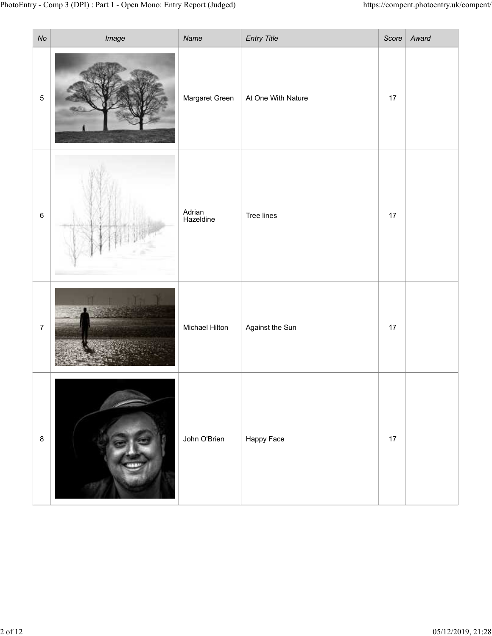|                              | ry - Comp 3 (DPI) : Part 1 - Open Mono: Entry Report (Judged) |                        |                                          |      | https://compent.photoentry.uk/compent/ |
|------------------------------|---------------------------------------------------------------|------------------------|------------------------------------------|------|----------------------------------------|
| N <sub>O</sub><br>$\sqrt{5}$ | Image                                                         | Name<br>Margaret Green | <b>Entry Title</b><br>At One With Nature | 17   | Score Award                            |
| $\,6\,$                      |                                                               | Adrian<br>Hazeldine    | Tree lines                               | $17$ |                                        |
| $\overline{7}$               |                                                               | Michael Hilton         | Against the Sun                          | $17$ |                                        |
| $\boldsymbol{8}$             |                                                               | John O'Brien           | Happy Face                               | $17$ |                                        |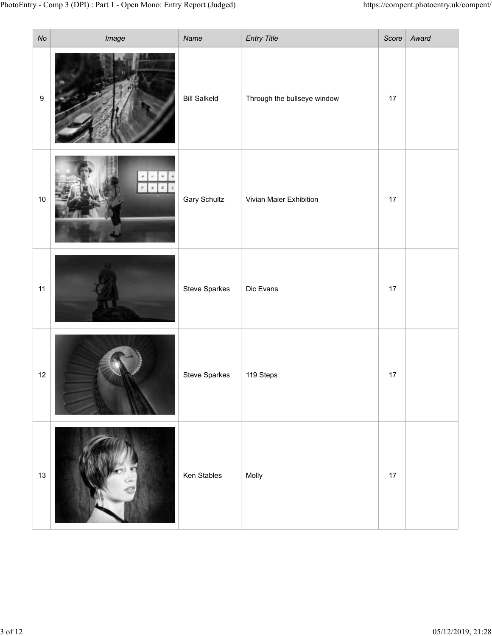|                  | ry - Comp 3 (DPI) : Part 1 - Open Mono: Entry Report (Judged) |                     |                             |      | $\textit{https://component.photoentry.uk/compent/}$ |
|------------------|---------------------------------------------------------------|---------------------|-----------------------------|------|-----------------------------------------------------|
| $\mathcal{N}o$   | Image                                                         | Name                | <b>Entry Title</b>          |      | Score $\vert$ Award                                 |
| $\boldsymbol{9}$ |                                                               | <b>Bill Salkeld</b> | Through the bullseye window | $17$ |                                                     |
| $10$             | نتتنا                                                         | <b>Gary Schultz</b> | Vivian Maier Exhibition     | $17$ |                                                     |
| 11               |                                                               | Steve Sparkes       | Dic Evans                   | $17$ |                                                     |
| $12$             |                                                               | Steve Sparkes       | 119 Steps                   | $17$ |                                                     |
| 13               |                                                               | Ken Stables         | Molly                       | $17$ |                                                     |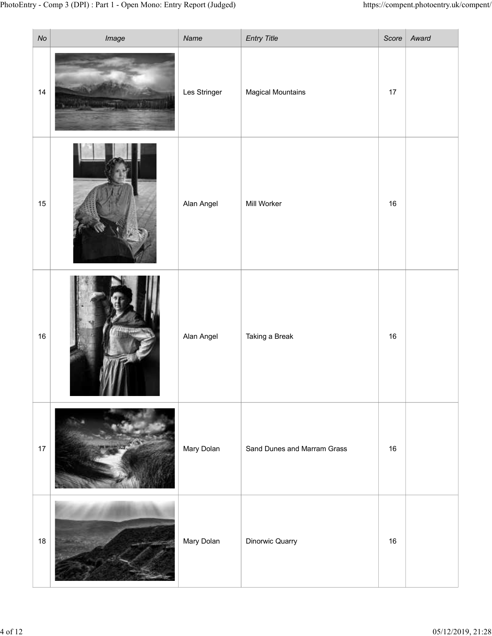|                | ry - Comp 3 (DPI) : Part 1 - Open Mono: Entry Report (Judged) |              |                             |        | https://compent.photoentry.uk/compent/ |
|----------------|---------------------------------------------------------------|--------------|-----------------------------|--------|----------------------------------------|
| N <sub>O</sub> | Image                                                         | Name         | <b>Entry Title</b>          |        | Score   Award                          |
| $14$           |                                                               | Les Stringer | <b>Magical Mountains</b>    | $17$   |                                        |
| 15             |                                                               | Alan Angel   | Mill Worker                 | 16     |                                        |
| 16             |                                                               | Alan Angel   | Taking a Break              | 16     |                                        |
| $17$           |                                                               | Mary Dolan   | Sand Dunes and Marram Grass | 16     |                                        |
| 18             |                                                               | Mary Dolan   | Dinorwic Quarry             | $16\,$ |                                        |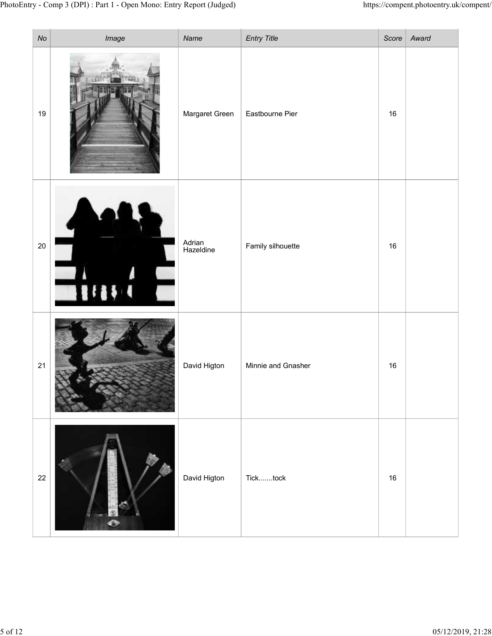| No     | ry - Comp 3 (DPI) : Part 1 - Open Mono: Entry Report (Judged)<br>Image | Name                | <b>Entry Title</b> |    | https://compent.photoentry.uk/compent/<br>Score   $Award$ |
|--------|------------------------------------------------------------------------|---------------------|--------------------|----|-----------------------------------------------------------|
| 19     |                                                                        | Margaret Green      | Eastbourne Pier    | 16 |                                                           |
| $20\,$ | 11111                                                                  | Adrian<br>Hazeldine | Family silhouette  | 16 |                                                           |
| 21     |                                                                        | David Higton        | Minnie and Gnasher | 16 |                                                           |
| 22     |                                                                        | David Higton        | Ticktock           | 16 |                                                           |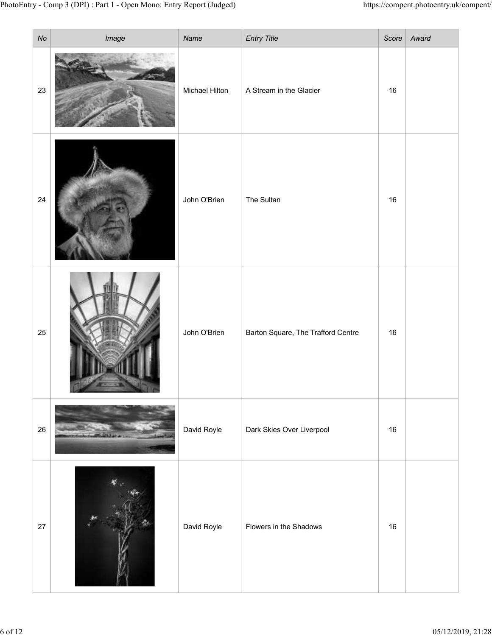|           | ry - Comp 3 (DPI) : Part 1 - Open Mono: Entry Report (Judged) |                       |                                    |        | https://compent.photoentry.uk/compent/ |
|-----------|---------------------------------------------------------------|-----------------------|------------------------------------|--------|----------------------------------------|
| $N\sigma$ | Image                                                         | Name                  | <b>Entry Title</b>                 |        | Score   $Award$                        |
| 23        |                                                               | <b>Michael Hilton</b> | A Stream in the Glacier            | $16\,$ |                                        |
| $24\,$    |                                                               | John O'Brien          | The Sultan                         | 16     |                                        |
| 25        |                                                               | John O'Brien          | Barton Square, The Trafford Centre | 16     |                                        |
| 26        |                                                               | David Royle           | Dark Skies Over Liverpool          | 16     |                                        |
| 27        | K                                                             | David Royle           | Flowers in the Shadows             | 16     |                                        |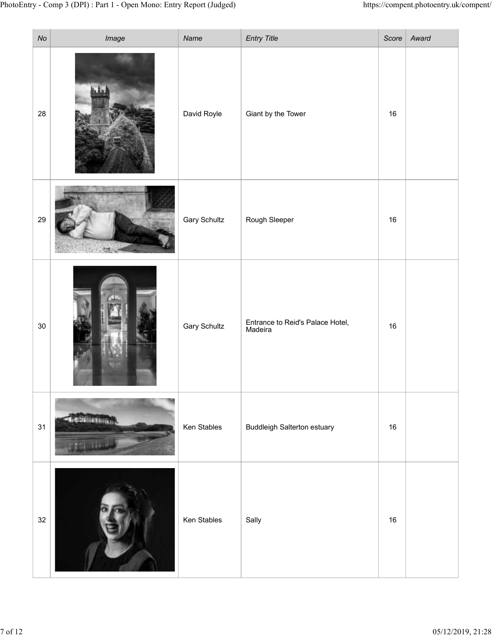|                             | ry - Comp 3 (DPI) : Part 1 - Open Mono: Entry Report (Judged)                                                                                                                                                                        |                     |                                             |        | https://compent.photoentry.uk/compent/ |
|-----------------------------|--------------------------------------------------------------------------------------------------------------------------------------------------------------------------------------------------------------------------------------|---------------------|---------------------------------------------|--------|----------------------------------------|
| $\mathsf{No}$               | Image                                                                                                                                                                                                                                | Name                | <b>Entry Title</b>                          |        | Score   Award                          |
| 28                          |                                                                                                                                                                                                                                      | David Royle         | Giant by the Tower                          | 16     |                                        |
| 29                          |                                                                                                                                                                                                                                      | <b>Gary Schultz</b> | Rough Sleeper                               | 16     |                                        |
| $30\,$                      |                                                                                                                                                                                                                                      | <b>Gary Schultz</b> | Entrance to Reid's Palace Hotel,<br>Madeira | 16     |                                        |
| 31                          | <b><i><u>GETTAISERININGS</u></i></b>                                                                                                                                                                                                 | Ken Stables         | <b>Buddleigh Salterton estuary</b>          | $16\,$ |                                        |
| $32\,$<br>$\vert \ \ \vert$ | <b>Company of the Company of the Company of the Company of the Company of the Company of the Company of The Company of The Company of The Company of The Company of The Company of The Company of The Company of The Company of </b> | Ken Stables         | Sally                                       | 16     |                                        |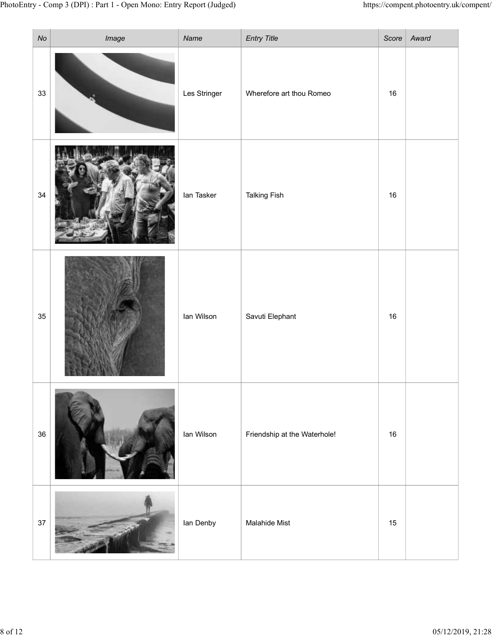|                 | ry - Comp 3 (DPI) : Part 1 - Open Mono: Entry Report (Judged) |                      |                                                |        | https://compent.photoentry.uk/compent/ |
|-----------------|---------------------------------------------------------------|----------------------|------------------------------------------------|--------|----------------------------------------|
| $N\sigma$<br>33 | Image                                                         | Name<br>Les Stringer | <b>Entry Title</b><br>Wherefore art thou Romeo | 16     | Score   Award                          |
| 34              |                                                               | lan Tasker           | <b>Talking Fish</b>                            | $16\,$ |                                        |
| 35              |                                                               | Ian Wilson           | Savuti Elephant                                | 16     |                                        |
| 36              |                                                               | lan Wilson           | Friendship at the Waterhole!                   | $16\,$ |                                        |
| 37              | <b>A SHOP AND COMPANY OF BUILDING COMPANY</b>                 | lan Denby            | Malahide Mist                                  | 15     |                                        |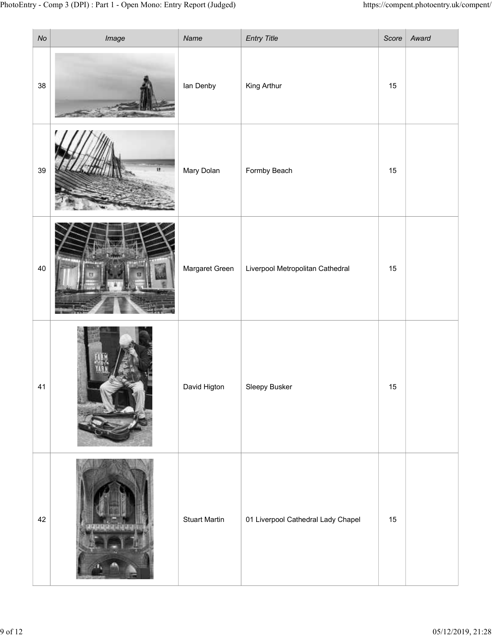|               | ry - Comp 3 (DPI) : Part 1 - Open Mono: Entry Report (Judged) |                      |                                    |    | https://compent.photoentry.uk/compent/ |
|---------------|---------------------------------------------------------------|----------------------|------------------------------------|----|----------------------------------------|
| $\mathsf{No}$ | Image                                                         | Name                 | <b>Entry Title</b>                 |    | Score   Award                          |
| 38            |                                                               | lan Denby            | King Arthur                        | 15 |                                        |
| 39            |                                                               | Mary Dolan           | Formby Beach                       | 15 |                                        |
| 40            |                                                               | Margaret Green       | Liverpool Metropolitan Cathedral   | 15 |                                        |
| 41            |                                                               | David Higton         | Sleepy Busker                      | 15 |                                        |
| 42            |                                                               | <b>Stuart Martin</b> | 01 Liverpool Cathedral Lady Chapel | 15 |                                        |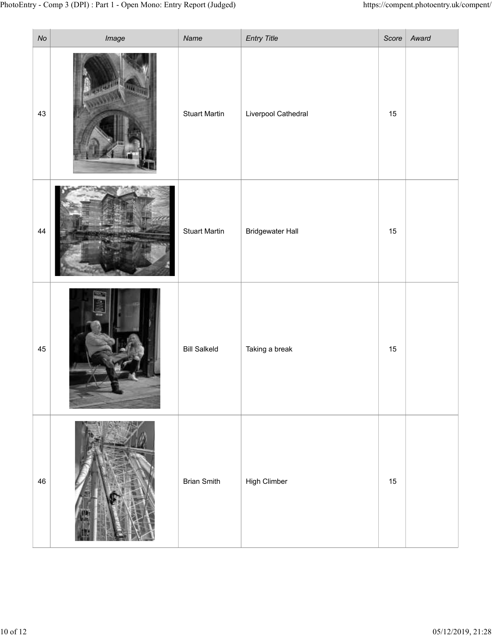| N <sub>O</sub> | ry - Comp 3 (DPI) : Part 1 - Open Mono: Entry Report (Judged)<br>Image | Name                 | <b>Entry Title</b>      |    | https://compent.photoentry.uk/compent/<br>Score   Award |
|----------------|------------------------------------------------------------------------|----------------------|-------------------------|----|---------------------------------------------------------|
| 43             |                                                                        | <b>Stuart Martin</b> | Liverpool Cathedral     | 15 |                                                         |
| $44\,$         | <b>CONTROL</b>                                                         | <b>Stuart Martin</b> | <b>Bridgewater Hall</b> | 15 |                                                         |
| 45             |                                                                        | <b>Bill Salkeld</b>  | Taking a break          | 15 |                                                         |
| 46             |                                                                        | <b>Brian Smith</b>   | High Climber            | 15 |                                                         |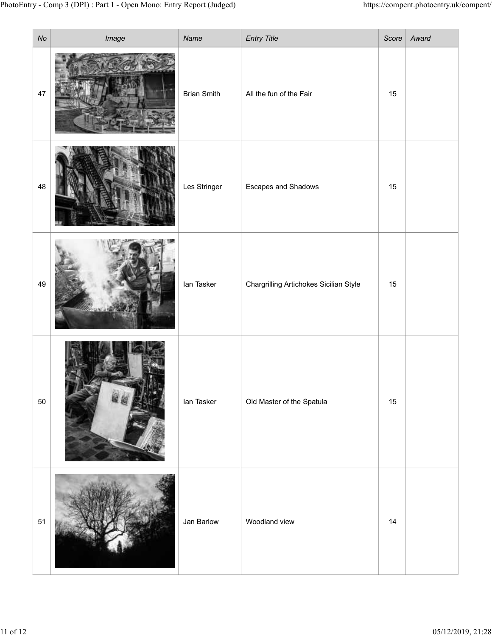|           | ry - Comp 3 (DPI) : Part 1 - Open Mono: Entry Report (Judged) |                    |                                        |    | https://compent.photoentry.uk/compent/ |
|-----------|---------------------------------------------------------------|--------------------|----------------------------------------|----|----------------------------------------|
| $N\sigma$ | Image                                                         | Name               | <b>Entry Title</b>                     |    | Score   $Award$                        |
| 47        |                                                               | <b>Brian Smith</b> | All the fun of the Fair                | 15 |                                        |
| 48        |                                                               | Les Stringer       | <b>Escapes and Shadows</b>             | 15 |                                        |
| 49        |                                                               | lan Tasker         | Chargrilling Artichokes Sicilian Style | 15 |                                        |
| 50        |                                                               | lan Tasker         | Old Master of the Spatula              | 15 |                                        |
| 51        |                                                               | Jan Barlow         | Woodland view                          | 14 |                                        |